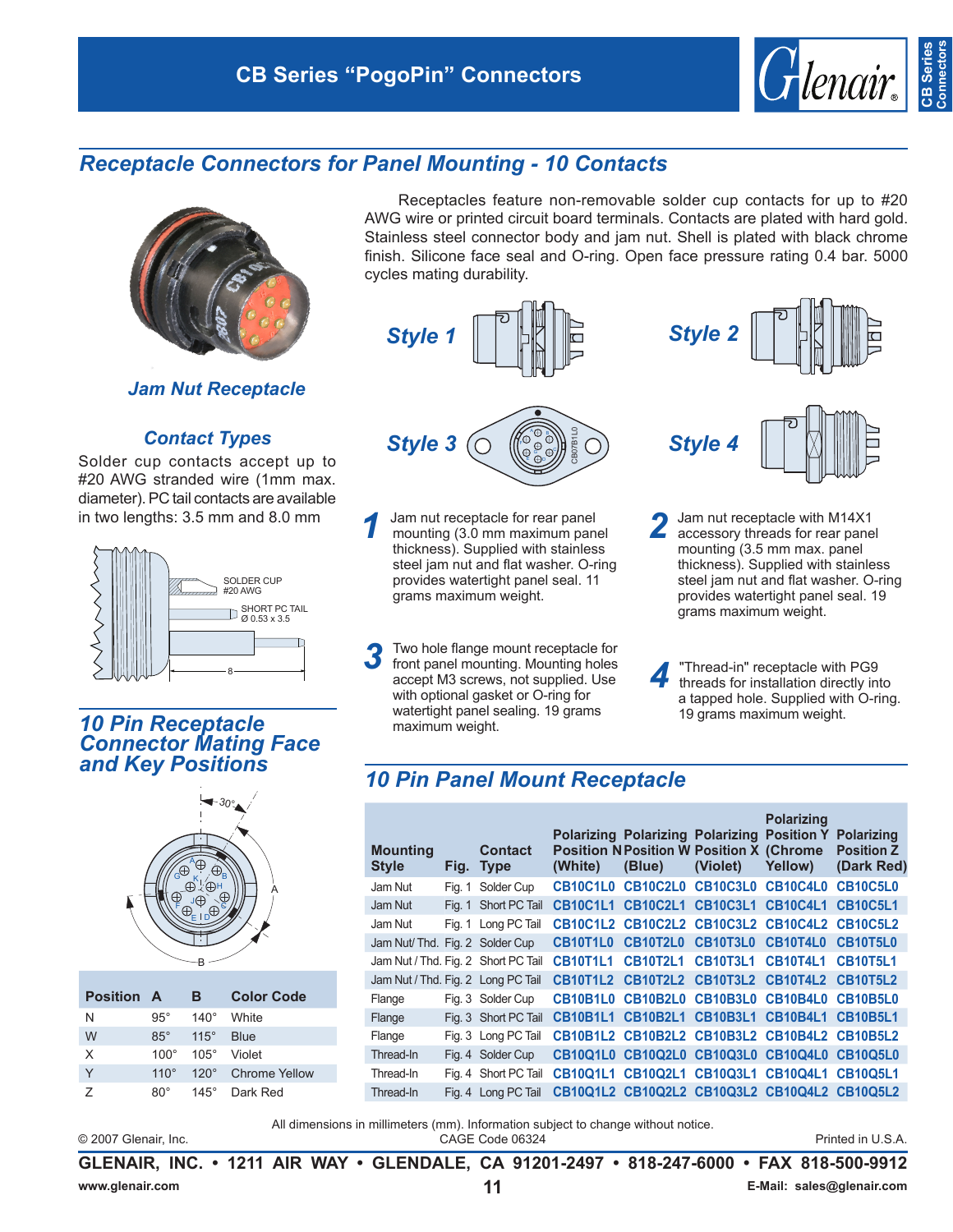# **CB Series "PogoPin" Connectors**



**Connectors**

# *Receptacle Connectors for Panel Mounting - 10 Contacts*



*Jam Nut Receptacle*

### *Contact Types*

Solder cup contacts accept up to #20 AWG stranded wire (1mm max. diameter). PC tail contacts are available in two lengths: 3.5 mm and 8.0 mm



### *10 Pin Receptacle Connector Mating Face and Key Positions*



| <b>Position A</b> |             | в           | <b>Color Code</b> |
|-------------------|-------------|-------------|-------------------|
| N                 | $95^\circ$  | $140^\circ$ | White             |
| W                 | $85^\circ$  | $115^\circ$ | <b>Blue</b>       |
| X                 | $100^\circ$ | $105^\circ$ | Violet            |
| Υ                 | $110^\circ$ | $120^\circ$ | Chrome Yellow     |
| 7                 | ጸ∩°         | $145^\circ$ | Dark Red          |

Receptacles feature non-removable solder cup contacts for up to #20 AWG wire or printed circuit board terminals. Contacts are plated with hard gold. Stainless steel connector body and jam nut. Shell is plated with black chrome finish. Silicone face seal and O-ring. Open face pressure rating 0.4 bar. 5000 cycles mating durability.



- **1** Jam nut receptacle for rear panel<br>mounting (3.0 mm maximum panel<br>this train that thickness). Supplied with stainless steel jam nut and flat washer. O-ring provides watertight panel seal. 11 grams maximum weight.
- 3<sup>3</sup> Two hole flange mount receptacle for<br>front panel mounting. Mounting holes accept M3 screws, not supplied. Use with optional gasket or O-ring for watertight panel sealing. 19 grams maximum weight.
- 
- 2 Jam nut receptacle with M14X1<br>accessory threads for rear panel mounting (3.5 mm max. panel thickness). Supplied with stainless steel jam nut and flat washer. O-ring provides watertight panel seal. 19 grams maximum weight.
- **4** "Thread-in" receptacle with PG9<br>threads for installation directly into a tapped hole. Supplied with O-ring. 19 grams maximum weight.

## *10 Pin Panel Mount Receptacle*

| <b>Mounting</b><br><b>Style</b>     |        | <b>Contact</b><br>Fig. Type | (White)         | <b>Polarizing Polarizing Polarizing Position Y Polarizing</b><br><b>Position N Position W Position X (Chrome</b><br>(Blue) | (Violet)          | <b>Polarizing</b><br>Yellow) | <b>Position Z</b><br>(Dark Red) |
|-------------------------------------|--------|-----------------------------|-----------------|----------------------------------------------------------------------------------------------------------------------------|-------------------|------------------------------|---------------------------------|
| Jam Nut                             | Fia. 1 | Solder Cup                  | CB10C1L0        | CB10C2L0                                                                                                                   | <b>CB10C3L0</b>   | <b>CB10C4L0</b>              | <b>CB10C5L0</b>                 |
| Jam Nut                             | Fia. 1 | Short PC Tail               | <b>CB10C1L1</b> | <b>CB10C2L1</b>                                                                                                            | <b>CB10C3L1</b>   | <b>CB10C4L1</b>              | <b>CB10C5L1</b>                 |
| Jam Nut                             |        | Fig. 1 Long PC Tail         |                 | CB10C1L2 CB10C2L2 CB10C3L2 CB10C4L2 CB10C5L2                                                                               |                   |                              |                                 |
| Jam Nut/ Thd. Fig. 2 Solder Cup     |        |                             | <b>CB10T1L0</b> | CB10T2L0 CB10T3L0                                                                                                          |                   | CB10T4L0 CB10T5L0            |                                 |
| Jam Nut / Thd. Fig. 2 Short PC Tail |        |                             | <b>CB10T1L1</b> | <b>CB10T2L1</b>                                                                                                            | <b>CB10T3L1</b>   | <b>CB10T4L1</b>              | <b>CB10T5L1</b>                 |
| Jam Nut / Thd. Fig. 2 Long PC Tail  |        |                             |                 | CB10T1L2 CB10T2L2 CB10T3L2 CB10T4L2 CB10T5L2                                                                               |                   |                              |                                 |
| Flange                              |        | Fig. 3 Solder Cup           | CB10B1L0        | <b>CB10B2L0</b>                                                                                                            | CB10B3L0 CB10B4L0 |                              | CB10B5L0                        |
| Flange                              |        | Fig. 3 Short PC Tail        |                 | CB10B1L1 CB10B2L1 CB10B3L1 CB10B4L1 CB10B5L1                                                                               |                   |                              |                                 |
| Flange                              |        | Fig. 3 Long PC Tail         |                 | CB10B1L2 CB10B2L2 CB10B3L2 CB10B4L2 CB10B5L2                                                                               |                   |                              |                                 |
| Thread-In                           |        | Fig. 4 Solder Cup           |                 | CB10Q1L0 CB10Q2L0 CB10Q3L0 CB10Q4L0 CB10Q5L0                                                                               |                   |                              |                                 |
| Thread-In                           | Fig. 4 | Short PC Tail               |                 | <b>CB10Q1L1 CB10Q2L1</b>                                                                                                   |                   | CB10Q3L1 CB10Q4L1 CB10Q5L1   |                                 |
| Thread-In                           |        | Fig. 4 Long PC Tail         |                 | CB10Q1L2 CB10Q2L2 CB10Q3L2 CB10Q4L2 CB10Q5L2                                                                               |                   |                              |                                 |

© 2007 Glenair, Inc. CAGE Code 06324 Printed in U.S.A. All dimensions in millimeters (mm). Information subject to change without notice.

**GLENAIR, INC. • 1211 AIR WAY • GLENDALE, CA 91201-2497 • 818-247-6000 • FAX 818-500-9912**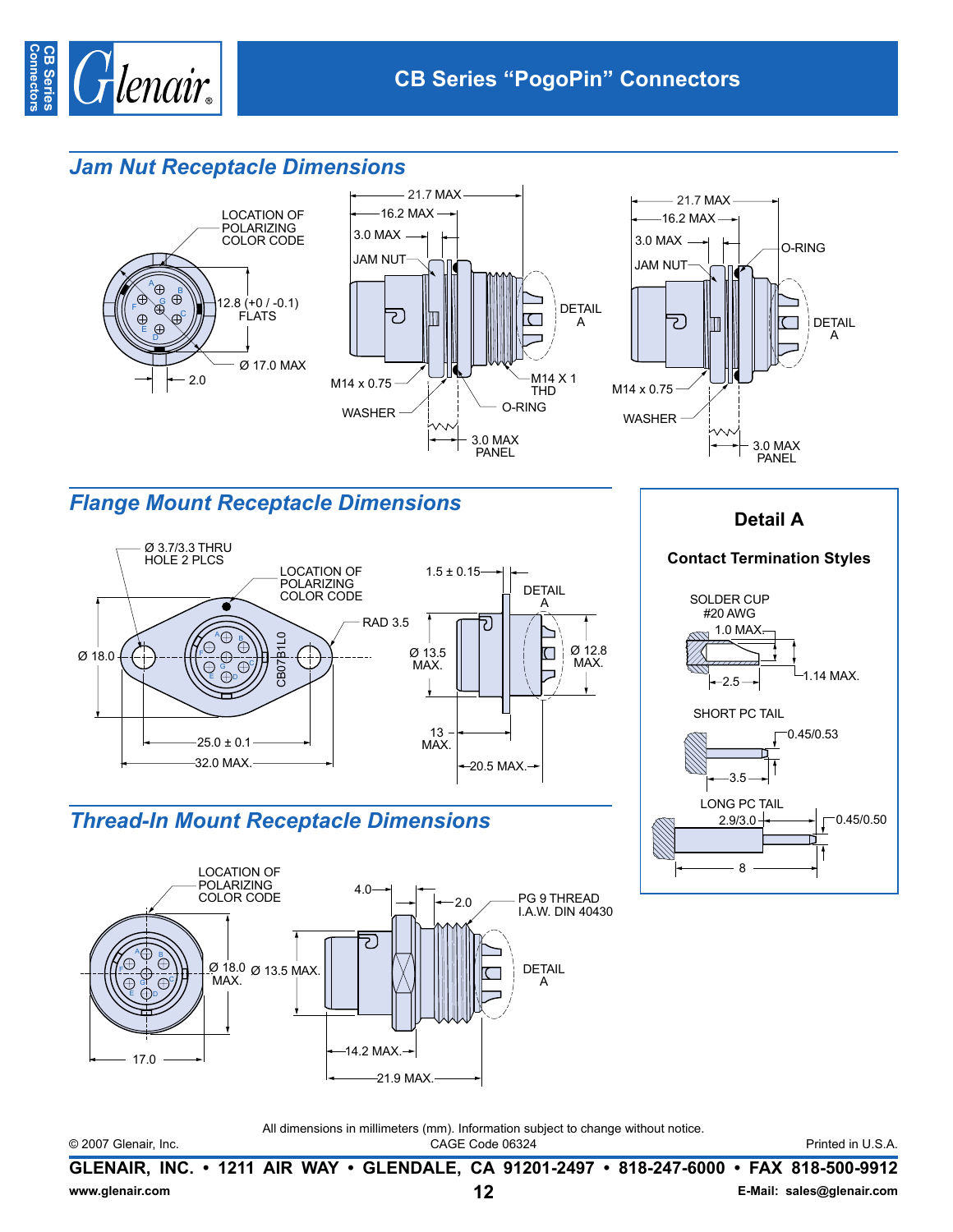

## **Jam Nut Receptacle Dimensions**



# **Flange Mount Receptacle Dimensions**



# **Thread-In Mount Receptacle Dimensions**



## **Detail A**

#### **Contact Termination Styles**



#### © 2007 Glenair, Inc.

All dimensions in millimeters (mm). Information subject to change without notice. CAGE Code 06324

Printed in U.S.A.

GLENAIR, INC. • 1211 AIR WAY • GLENDALE, CA 91201-2497 • 818-247-6000 • FAX 818-500-9912  $12$ E-Mail: sales@glenair.com www.glenair.com